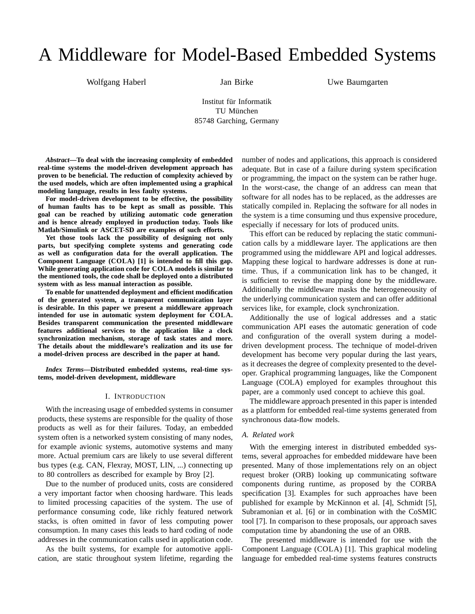# A Middleware for Model-Based Embedded Systems

Wolfgang Haberl Jan Birke

Uwe Baumgarten

Institut für Informatik TU München 85748 Garching, Germany

*Abstract***—To deal with the increasing complexity of embedded real-time systems the model-driven development approach has proven to be beneficial. The reduction of complexity achieved by the used models, which are often implemented using a graphical modeling language, results in less faulty systems.**

**For model-driven development to be effective, the possibility of human faults has to be kept as small as possible. This goal can be reached by utilizing automatic code generation and is hence already employed in production today. Tools like Matlab/Simulink or ASCET-SD are examples of such efforts.**

**Yet those tools lack the possibility of designing not only parts, but specifying complete systems and generating code as well as configuration data for the overall application. The Component Language (COLA) [1] is intended to fill this gap. While generating application code for COLA models is similar to the mentioned tools, the code shall be deployed onto a distributed system with as less manual interaction as possible.**

**To enable for unattended deployment and efficient modification of the generated system, a transparent communication layer is desirable. In this paper we present a middleware approach intended for use in automatic system deployment for COLA. Besides transparent communication the presented middleware features additional services to the application like a clock synchronization mechanism, storage of task states and more. The details about the middleware's realization and its use for a model-driven process are described in the paper at hand.**

*Index Terms***—Distributed embedded systems, real-time systems, model-driven development, middleware**

#### I. INTRODUCTION

With the increasing usage of embedded systems in consumer products, these systems are responsible for the quality of those products as well as for their failures. Today, an embedded system often is a networked system consisting of many nodes, for example avionic systems, automotive systems and many more. Actual premium cars are likely to use several different bus types (e.g. CAN, Flexray, MOST, LIN, ...) connecting up to 80 controllers as described for example by Broy [2].

Due to the number of produced units, costs are considered a very important factor when choosing hardware. This leads to limited processing capacities of the system. The use of performance consuming code, like richly featured network stacks, is often omitted in favor of less computing power consumption. In many cases this leads to hard coding of node addresses in the communication calls used in application code.

As the built systems, for example for automotive application, are static throughout system lifetime, regarding the number of nodes and applications, this approach is considered adequate. But in case of a failure during system specification or programming, the impact on the system can be rather huge. In the worst-case, the change of an address can mean that software for all nodes has to be replaced, as the addresses are statically compiled in. Replacing the software for all nodes in the system is a time consuming und thus expensive procedure, especially if necessary for lots of produced units.

This effort can be reduced by replacing the static communication calls by a middleware layer. The applications are then programmed using the middleware API and logical addresses. Mapping these logical to hardware addresses is done at runtime. Thus, if a communication link has to be changed, it is sufficient to revise the mapping done by the middleware. Additionally the middleware masks the heterogeneousity of the underlying communication system and can offer additional services like, for example, clock synchronization.

Additionally the use of logical addresses and a static communication API eases the automatic generation of code and configuration of the overall system during a modeldriven development process. The technique of model-driven development has become very popular during the last years, as it decreases the degree of complexity presented to the developer. Graphical programming languages, like the Component Language (COLA) employed for examples throughout this paper, are a commonly used concept to achieve this goal.

The middleware approach presented in this paper is intended as a plattform for embedded real-time systems generated from synchronous data-flow models.

# *A. Related work*

With the emerging interest in distributed embedded systems, several approaches for embedded middeware have been presented. Many of those implementations rely on an object request broker (ORB) looking up communicating software components during runtime, as proposed by the CORBA specification [3]. Examples for such approaches have been published for example by McKinnon et al. [4], Schmidt [5], Subramonian et al. [6] or in combination with the CoSMIC tool [7]. In comparison to these proposals, our approach saves computation time by abandoning the use of an ORB.

The presented middleware is intended for use with the Component Language (COLA) [1]. This graphical modeling language for embedded real-time systems features constructs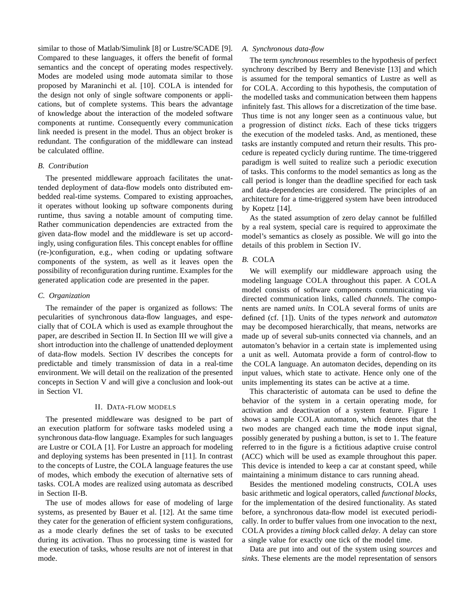similar to those of Matlab/Simulink [8] or Lustre/SCADE [9]. Compared to these languages, it offers the benefit of formal semantics and the concept of operating modes respectively. Modes are modeled using mode automata similar to those proposed by Maraninchi et al. [10]. COLA is intended for the design not only of single software components or applications, but of complete systems. This bears the advantage of knowledge about the interaction of the modeled software components at runtime. Consequently every communication link needed is present in the model. Thus an object broker is redundant. The configuration of the middleware can instead be calculated offline.

# *B. Contribution*

The presented middleware approach facilitates the unattended deployment of data-flow models onto distributed embedded real-time systems. Compared to existing approaches, it operates without looking up software components during runtime, thus saving a notable amount of computing time. Rather communication dependencies are extracted from the given data-flow model and the middleware is set up accordingly, using configuration files. This concept enables for offline (re-)configuration, e.g., when coding or updating software components of the system, as well as it leaves open the possibility of reconfiguration during runtime. Examples for the generated application code are presented in the paper.

#### *C. Organization*

The remainder of the paper is organized as follows: The pecularities of synchronous data-flow languages, and especially that of COLA which is used as example throughout the paper, are described in Section II. In Section III we will give a short introduction into the challenge of unattended deployment of data-flow models. Section IV describes the concepts for predictable and timely transmission of data in a real-time environment. We will detail on the realization of the presented concepts in Section V and will give a conclusion and look-out in Section VI.

#### II. DATA-FLOW MODELS

The presented middleware was designed to be part of an execution platform for software tasks modeled using a synchronous data-flow language. Examples for such languages are Lustre or COLA [1]. For Lustre an approach for modeling and deploying systems has been presented in [11]. In contrast to the concepts of Lustre, the COLA language features the use of modes, which embody the execution of alternative sets of tasks. COLA modes are realized using automata as described in Section II-B.

The use of modes allows for ease of modeling of large systems, as presented by Bauer et al. [12]. At the same time they cater for the generation of efficient system configurations, as a mode clearly defines the set of tasks to be executed during its activation. Thus no processing time is wasted for the execution of tasks, whose results are not of interest in that mode.

## *A. Synchronous data-flow*

The term *synchronous* resembles to the hypothesis of perfect synchrony described by Berry and Beneviste [13] and which is assumed for the temporal semantics of Lustre as well as for COLA. According to this hypothesis, the computation of the modelled tasks and communication between them happens infinitely fast. This allows for a discretization of the time base. Thus time is not any longer seen as a continuous value, but a progression of distinct *ticks*. Each of these ticks triggers the execution of the modeled tasks. And, as mentioned, these tasks are instantly computed and return their results. This procedure is repeated cyclicly during runtime. The time-triggered paradigm is well suited to realize such a periodic execution of tasks. This conforms to the model semantics as long as the call period is longer than the deadline specified for each task and data-dependencies are considered. The principles of an architecture for a time-triggered system have been introduced by Kopetz [14].

As the stated assumption of zero delay cannot be fulfilled by a real system, special care is required to approximate the model's semantics as closely as possible. We will go into the details of this problem in Section IV.

# *B.* COLA

We will exemplify our middleware approach using the modeling language COLA throughout this paper. A COLA model consists of software components communicating via directed communication links, called *channels*. The components are named *units*. In COLA several forms of units are defined (cf. [1]). Units of the types *network* and *automaton* may be decomposed hierarchically, that means, networks are made up of several sub-units connected via channels, and an automaton's behavior in a certain state is implemented using a unit as well. Automata provide a form of control-flow to the COLA language. An automaton decides, depending on its input values, which state to activate. Hence only one of the units implementing its states can be active at a time.

This characteristic of automata can be used to define the behavior of the system in a certain operating mode, for activation and deactivation of a system feature. Figure 1 shows a sample COLA automaton, which denotes that the two modes are changed each time the mode input signal, possibly generated by pushing a button, is set to 1. The feature referred to in the figure is a fictitious adaptive cruise control (ACC) which will be used as example throughout this paper. This device is intended to keep a car at constant speed, while maintaining a minimum distance to cars running ahead.

Besides the mentioned modeling constructs, COLA uses basic arithmetic and logical operators, called *functional blocks*, for the implementation of the desired functionality. As stated before, a synchronous data-flow model ist executed periodically. In order to buffer values from one invocation to the next, COLA provides a *timing block* called *delay*. A delay can store a single value for exactly one tick of the model time.

Data are put into and out of the system using *sources* and *sinks*. These elements are the model representation of sensors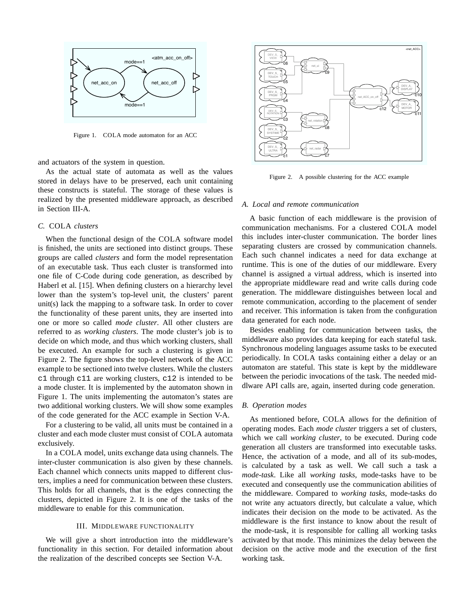

Figure 1. COLA mode automaton for an ACC

and actuators of the system in question.

As the actual state of automata as well as the values stored in delays have to be preserved, each unit containing these constructs is stateful. The storage of these values is realized by the presented middleware approach, as described in Section III-A.

# *C.* COLA *clusters*

When the functional design of the COLA software model is finished, the units are sectioned into distinct groups. These groups are called *clusters* and form the model representation of an executable task. Thus each cluster is transformed into one file of C-Code during code generation, as described by Haberl et al. [15]. When defining clusters on a hierarchy level lower than the system's top-level unit, the clusters' parent unit(s) lack the mapping to a software task. In order to cover the functionality of these parent units, they are inserted into one or more so called *mode cluster*. All other clusters are referred to as *working clusters*. The mode cluster's job is to decide on which mode, and thus which working clusters, shall be executed. An example for such a clustering is given in Figure 2. The figure shows the top-level network of the ACC example to be sectioned into twelve clusters. While the clusters c1 through c11 are working clusters, c12 is intended to be a mode cluster. It is implemented by the automaton shown in Figure 1. The units implementing the automaton's states are two additional working clusters. We will show some examples of the code generated for the ACC example in Section V-A.

For a clustering to be valid, all units must be contained in a cluster and each mode cluster must consist of COLA automata exclusively.

In a COLA model, units exchange data using channels. The inter-cluster communication is also given by these channels. Each channel which connects units mapped to different clusters, implies a need for communication between these clusters. This holds for all channels, that is the edges connecting the clusters, depicted in Figure 2. It is one of the tasks of the middleware to enable for this communication.

# III. MIDDLEWARE FUNCTIONALITY

We will give a short introduction into the middleware's functionality in this section. For detailed information about the realization of the described concepts see Section V-A.



Figure 2. A possible clustering for the ACC example

### *A. Local and remote communication*

A basic function of each middleware is the provision of communication mechanisms. For a clustered COLA model this includes inter-cluster communication. The border lines separating clusters are crossed by communication channels. Each such channel indicates a need for data exchange at runtime. This is one of the duties of our middleware. Every channel is assigned a virtual address, which is inserted into the appropriate middleware read and write calls during code generation. The middleware distinguishes between local and remote communication, according to the placement of sender and receiver. This information is taken from the configuration data generated for each node.

Besides enabling for communication between tasks, the middleware also provides data keeping for each stateful task. Synchronous modeling languages assume tasks to be executed periodically. In COLA tasks containing either a delay or an automaton are stateful. This state is kept by the middleware between the periodic invocations of the task. The needed middlware API calls are, again, inserted during code generation.

# *B. Operation modes*

As mentioned before, COLA allows for the definition of operating modes. Each *mode cluster* triggers a set of clusters, which we call *working cluster*, to be executed. During code generation all clusters are transformed into executable tasks. Hence, the activation of a mode, and all of its sub-modes, is calculated by a task as well. We call such a task a *mode-task*. Like all *working tasks*, mode-tasks have to be executed and consequently use the communication abilities of the middleware. Compared to *working tasks*, mode-tasks do not write any actuators directly, but calculate a value, which indicates their decision on the mode to be activated. As the middleware is the first instance to know about the result of the mode-task, it is responsible for calling all working tasks activated by that mode. This minimizes the delay between the decision on the active mode and the execution of the first working task.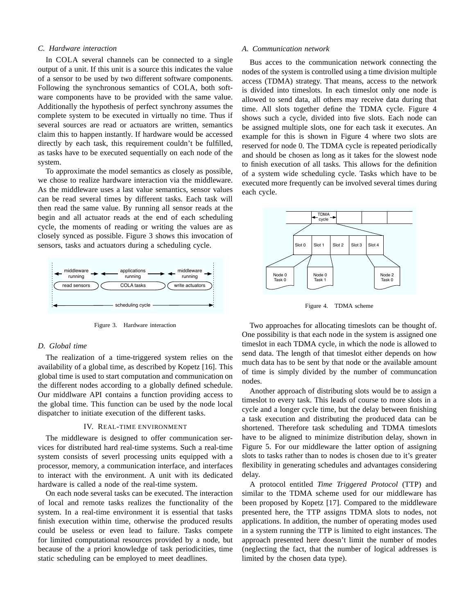### *C. Hardware interaction*

In COLA several channels can be connected to a single output of a unit. If this unit is a source this indicates the value of a sensor to be used by two different software components. Following the synchronous semantics of COLA, both software components have to be provided with the same value. Additionally the hypothesis of perfect synchrony assumes the complete system to be executed in virtually no time. Thus if several sources are read or actuators are written, semantics claim this to happen instantly. If hardware would be accessed directly by each task, this requirement couldn't be fulfilled, as tasks have to be executed sequentially on each node of the system.

To approximate the model semantics as closely as possible, we chose to realize hardware interaction via the middleware. As the middleware uses a last value semantics, sensor values can be read several times by different tasks. Each task will then read the same value. By running all sensor reads at the begin and all actuator reads at the end of each scheduling cycle, the moments of reading or writing the values are as closely synced as possible. Figure 3 shows this invocation of sensors, tasks and actuators during a scheduling cycle.



Figure 3. Hardware interaction

## *D. Global time*

The realization of a time-triggered system relies on the availability of a global time, as described by Kopetz [16]. This global time is used to start computation and communication on the different nodes according to a globally defined schedule. Our middlware API contains a function providing access to the global time. This function can be used by the node local dispatcher to initiate execution of the different tasks.

#### IV. REAL-TIME ENVIRONMENT

The middleware is designed to offer communication services for distributed hard real-time systems. Such a real-time system consists of severl processing units equipped with a processor, memory, a communication interface, and interfaces to interact with the environment. A unit with its dedicated hardware is called a node of the real-time system.

On each node several tasks can be executed. The interaction of local and remote tasks realizes the functionality of the system. In a real-time environment it is essential that tasks finish execution within time, otherwise the produced results could be useless or even lead to failure. Tasks compete for limited computational resources provided by a node, but because of the a priori knowledge of task periodicities, time static scheduling can be employed to meet deadlines.

#### *A. Communication network*

Bus acces to the communication network connecting the nodes of the system is controlled using a time division multiple access (TDMA) strategy. That means, access to the network is divided into timeslots. In each timeslot only one node is allowed to send data, all others may receive data during that time. All slots together define the TDMA cycle. Figure 4 shows such a cycle, divided into five slots. Each node can be assigned multiple slots, one for each task it executes. An example for this is shown in Figure 4 where two slots are reserved for node 0. The TDMA cycle is repeated periodically and should be chosen as long as it takes for the slowest node to finish execution of all tasks. This allows for the definition of a system wide scheduling cycle. Tasks which have to be executed more frequently can be involved several times during each cycle.



Figure 4. TDMA scheme

Two approaches for allocating timeslots can be thought of. One possibility is that each node in the system is assigned one timeslot in each TDMA cycle, in which the node is allowed to send data. The length of that timeslot either depends on how much data has to be sent by that node or the available amount of time is simply divided by the number of communcation nodes.

Another approach of distributing slots would be to assign a timeslot to every task. This leads of course to more slots in a cycle and a longer cycle time, but the delay between finishing a task execution and distributing the produced data can be shortened. Therefore task scheduling and TDMA timeslots have to be aligned to minimize distribution delay, shown in Figure 5. For our middleware the latter option of assigning slots to tasks rather than to nodes is chosen due to it's greater flexibility in generating schedules and advantages considering delay.

A protocol entitled *Time Triggered Protocol* (TTP) and similar to the TDMA scheme used for our middleware has been proposed by Kopetz [17]. Compared to the middleware presented here, the TTP assigns TDMA slots to nodes, not applications. In addition, the number of operating modes used in a system running the TTP is limited to eight instances. The approach presented here doesn't limit the number of modes (neglecting the fact, that the number of logical addresses is limited by the chosen data type).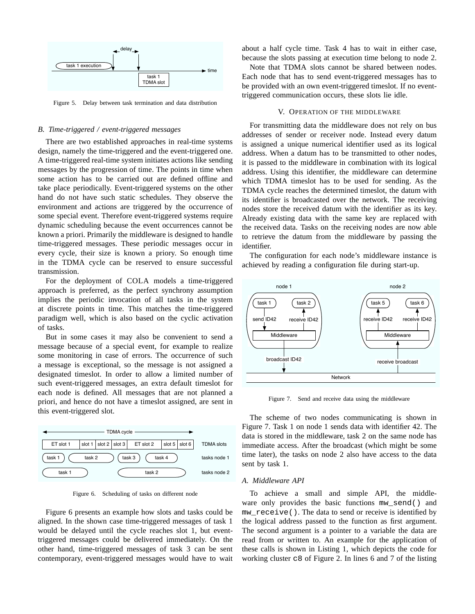

Figure 5. Delay between task termination and data distribution

# *B. Time-triggered / event-triggered messages*

There are two established approaches in real-time systems design, namely the time-triggered and the event-triggered one. A time-triggered real-time system initiates actions like sending messages by the progression of time. The points in time when some action has to be carried out are defined offline and take place periodically. Event-triggered systems on the other hand do not have such static schedules. They observe the environment and actions are triggered by the occurrence of some special event. Therefore event-triggered systems require dynamic scheduling because the event occurrences cannot be known a priori. Primarily the middleware is designed to handle time-triggered messages. These periodic messages occur in every cycle, their size is known a priory. So enough time in the TDMA cycle can be reserved to ensure successful transmission.

For the deployment of COLA models a time-triggered approach is preferred, as the perfect synchrony assumption implies the periodic invocation of all tasks in the system at discrete points in time. This matches the time-triggered paradigm well, which is also based on the cyclic activation of tasks.

But in some cases it may also be convenient to send a message because of a special event, for example to realize some monitoring in case of errors. The occurrence of such a message is exceptional, so the message is not assigned a designated timeslot. In order to allow a limited number of such event-triggered messages, an extra default timeslot for each node is defined. All messages that are not planned a priori, and hence do not have a timeslot assigned, are sent in this event-triggered slot.



Figure 6. Scheduling of tasks on different node

Figure 6 presents an example how slots and tasks could be aligned. In the shown case time-triggered messages of task 1 would be delayed until the cycle reaches slot 1, but eventtriggered messages could be delivered immediately. On the other hand, time-triggered messages of task 3 can be sent contemporary, event-triggered messages would have to wait

about a half cycle time. Task 4 has to wait in either case, because the slots passing at execution time belong to node 2.

Note that TDMA slots cannot be shared between nodes. Each node that has to send event-triggered messages has to be provided with an own event-triggered timeslot. If no eventtriggered communication occurs, these slots lie idle.

# V. OPERATION OF THE MIDDLEWARE

For transmitting data the middleware does not rely on bus addresses of sender or receiver node. Instead every datum is assigned a unique numerical identifier used as its logical address. When a datum has to be transmitted to other nodes, it is passed to the middleware in combination with its logical address. Using this identifier, the middleware can determine which TDMA timeslot has to be used for sending. As the TDMA cycle reaches the determined timeslot, the datum with its identifier is broadcasted over the network. The receiving nodes store the received datum with the identifier as its key. Already existing data with the same key are replaced with the received data. Tasks on the receiving nodes are now able to retrieve the datum from the middleware by passing the identifier.

The configuration for each node's middleware instance is achieved by reading a configuration file during start-up.



Figure 7. Send and receive data using the middleware

The scheme of two nodes communicating is shown in Figure 7. Task 1 on node 1 sends data with identifier 42. The data is stored in the middleware, task 2 on the same node has immediate access. After the broadcast (which might be some time later), the tasks on node 2 also have access to the data sent by task 1.

#### *A. Middleware API*

To achieve a small and simple API, the middleware only provides the basic functions mw\_send() and mw\_receive(). The data to send or receive is identified by the logical address passed to the function as first argument. The second argument is a pointer to a variable the data are read from or written to. An example for the application of these calls is shown in Listing 1, which depicts the code for working cluster c8 of Figure 2. In lines 6 and 7 of the listing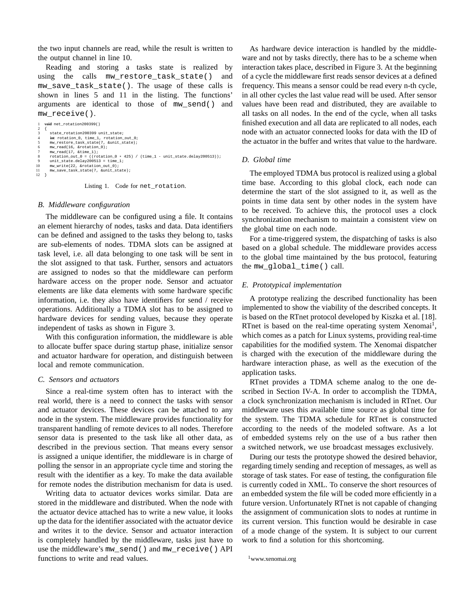the two input channels are read, while the result is written to the output channel in line 10.

Reading and storing a tasks state is realized by using the calls mw\_restore\_task\_state() and mw\_save\_task\_state(). The usage of these calls is shown in lines 5 and 11 in the listing. The functions' arguments are identical to those of mw\_send() and mw\_receive().

```
1 void net_rotation200399()
  2 {
            state_rotation200399 unit_state;
  4 int rotation_0, time_1, rotation_out_0;
5 mw_restore_task_state(7, &unit_state);
6 mw_read(16, &rotation_0);
7 mw_read(17, &time_1);
8 rotation_out_0 = ((rotation_0 * 425) / (time_1 - unit_state.delay200513));
9 unit_state.delay200513 = time_1;
10 mw_write(22, &rotation_out_0);
11 mw_save_task_state(7, &unit_state);
\frac{12}{12} }
```
Listing 1. Code for net\_rotation.

# *B. Middleware configuration*

The middleware can be configured using a file. It contains an element hierarchy of nodes, tasks and data. Data identifiers can be defined and assigned to the tasks they belong to, tasks are sub-elements of nodes. TDMA slots can be assigned at task level, i.e. all data belonging to one task will be sent in the slot assigned to that task. Further, sensors and actuators are assigned to nodes so that the middleware can perform hardware access on the proper node. Sensor and actuator elements are like data elements with some hardware specific information, i.e. they also have identifiers for send / receive operations. Additionally a TDMA slot has to be assigned to hardware devices for sending values, because they operate independent of tasks as shown in Figure 3.

With this configuration information, the middleware is able to allocate buffer space during startup phase, initialize sensor and actuator hardware for operation, and distinguish between local and remote communication.

# *C. Sensors and actuators*

Since a real-time system often has to interact with the real world, there is a need to connect the tasks with sensor and actuator devices. These devices can be attached to any node in the system. The middleware provides functionality for transparent handling of remote devices to all nodes. Therefore sensor data is presented to the task like all other data, as described in the previous section. That means every sensor is assigned a unique identifier, the middleware is in charge of polling the sensor in an appropriate cycle time and storing the result with the identifier as a key. To make the data available for remote nodes the distribution mechanism for data is used.

Writing data to actuator devices works similar. Data are stored in the middleware and distributed. When the node with the actuator device attached has to write a new value, it looks up the data for the identifier associated with the actuator device and writes it to the device. Sensor and actuator interaction is completely handled by the middleware, tasks just have to use the middleware's mw\_send() and mw\_receive() API functions to write and read values.

As hardware device interaction is handled by the middleware and not by tasks directly, there has to be a scheme when interaction takes place, described in Figure 3. At the beginning of a cycle the middleware first reads sensor devices at a defined frequency. This means a sensor could be read every n-th cycle, in all other cycles the last value read will be used. After sensor values have been read and distributed, they are available to all tasks on all nodes. In the end of the cycle, when all tasks finished execution and all data are replicated to all nodes, each node with an actuator connected looks for data with the ID of the actuator in the buffer and writes that value to the hardware.

# *D. Global time*

The employed TDMA bus protocol is realized using a global time base. According to this global clock, each node can determine the start of the slot assigned to it, as well as the points in time data sent by other nodes in the system have to be received. To achieve this, the protocol uses a clock synchronization mechanism to maintain a consistent view on the global time on each node.

For a time-triggered system, the dispatching of tasks is also based on a global schedule. The middleware provides access to the global time maintained by the bus protocol, featuring the mw\_global\_time() call.

# *E. Prototypical implementation*

A prototype realizing the described functionality has been implemented to show the viability of the described concepts. It is based on the RTnet protocol developed by Kiszka et al. [18]. RTnet is based on the real-time operating system Xenomai<sup>1</sup>, which comes as a patch for Linux systems, providing real-time capabilities for the modified system. The Xenomai dispatcher is charged with the execution of the middleware during the hardware interaction phase, as well as the execution of the application tasks.

RTnet provides a TDMA scheme analog to the one described in Section IV-A. In order to accomplish the TDMA, a clock synchronization mechanism is included in RTnet. Our middleware uses this available time source as global time for the system. The TDMA schedule for RTnet is constructed according to the needs of the modeled software. As a lot of embedded systems rely on the use of a bus rather then a switched network, we use broadcast messages exclusively.

During our tests the prototype showed the desired behavior, regarding timely sending and reception of messages, as well as storage of task states. For ease of testing, the configuration file is currently coded in XML. To conserve the short resources of an embedded system the file will be coded more efficiently in a future version. Unfortunately RTnet is not capable of changing the assignment of communication slots to nodes at runtime in its current version. This function would be desirable in case of a mode change of the system. It is subject to our current work to find a solution for this shortcoming.

<sup>1</sup>www.xenomai.org